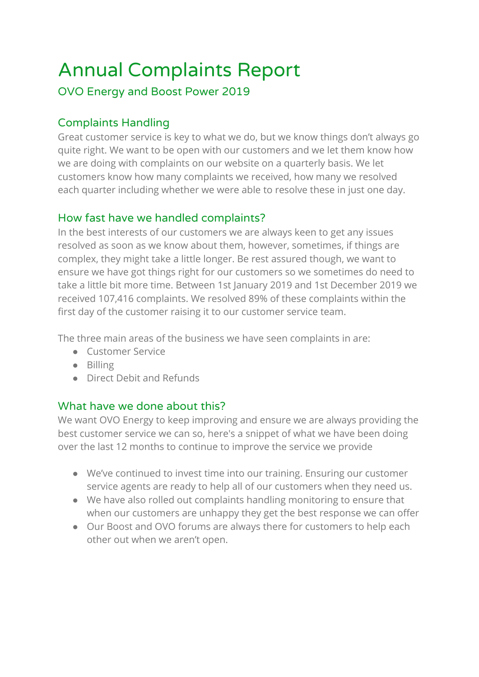# Annual Complaints Report

## OVO Energy and Boost Power 2019

# Complaints Handling

Great customer service is key to what we do, but we know things don't always go quite right. We want to be open with our customers and we let them know how we are doing with complaints on our website on a quarterly basis. We let customers know how many complaints we received, how many we resolved each quarter including whether we were able to resolve these in just one day.

#### How fast have we handled complaints?

In the best interests of our customers we are always keen to get any issues resolved as soon as we know about them, however, sometimes, if things are complex, they might take a little longer. Be rest assured though, we want to ensure we have got things right for our customers so we sometimes do need to take a little bit more time. Between 1st January 2019 and 1st December 2019 we received 107,416 complaints. We resolved 89% of these complaints within the first day of the customer raising it to our customer service team.

The three main areas of the business we have seen complaints in are:

- Customer Service
- Billing
- Direct Debit and Refunds

#### What have we done about this?

We want OVO Energy to keep improving and ensure we are always providing the best customer service we can so, here's a snippet of what we have been doing over the last 12 months to continue to improve the service we provide

- We've continued to invest time into our training. Ensuring our customer service agents are ready to help all of our customers when they need us.
- We have also rolled out complaints handling monitoring to ensure that when our customers are unhappy they get the best response we can offer
- Our Boost and OVO forums are always there for customers to help each other out when we aren't open.